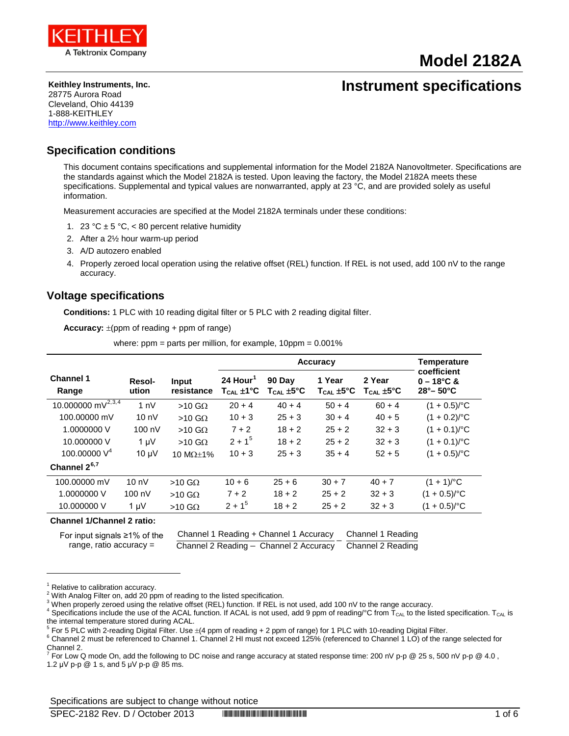

# **Model 2182A**

#### **Keithley Instruments, Inc.** 28775 Aurora Road Cleveland, Ohio 44139 1-888-KEITHLEY [http://www.keithley.com](http://www.keithley.com/)

# **Instrument specifications**

**Specification conditions**

This document contains specifications and supplemental information for the Model 2182A Nanovoltmeter. Specifications are the standards against which the Model 2182A is tested. Upon leaving the factory, the Model 2182A meets these specifications. Supplemental and typical values are nonwarranted, apply at 23 °C, and are provided solely as useful information.

Measurement accuracies are specified at the Model 2182A terminals under these conditions:

- 1. 23 °C  $\pm$  5 °C, < 80 percent relative humidity
- 2. After a 2½ hour warm-up period
- 3. A/D autozero enabled
- 4. Properly zeroed local operation using the relative offset (REL) function. If REL is not used, add 100 nV to the range accuracy.

#### **Voltage specifications**

**Conditions:** 1 PLC with 10 reading digital filter or 5 PLC with 2 reading digital filter.

**Accuracy:** ±(ppm of reading + ppm of range)

<span id="page-0-1"></span><span id="page-0-0"></span>where: ppm = parts per million, for example, 10ppm = 0.001%

|                                    |                  |                            | <b>Temperature</b><br><b>Accuracy</b>             |                                        |                              |                                                               |                                                                       |
|------------------------------------|------------------|----------------------------|---------------------------------------------------|----------------------------------------|------------------------------|---------------------------------------------------------------|-----------------------------------------------------------------------|
| Channel 1<br>Range                 | Resol-<br>ution  | <b>Input</b><br>resistance | 24 Hour <sup>1</sup><br>$T_{CAL}$ ±1 $^{\circ}$ C | 90 Day<br>$T_{CAL}$ ±5°C               | 1 Year<br>$T_{\rm CAL}$ ±5°C | 2 Year<br>$\mathsf{T}_{\mathsf{CAL}}$ $\pm 5^\circ\mathsf{C}$ | coefficient<br>$0 - 18^{\circ}$ C &<br>$28^\circ - 50^\circ \text{C}$ |
| 10.000000 $\overline{mV^{2,3,4}}$  | 1 <sub>n</sub>   | $>10$ G $\Omega$           | $20 + 4$                                          | $40 + 4$                               | $50 + 4$                     | $60 + 4$                                                      | $(1 + 0.5)$ /°C                                                       |
| 100,00000 mV                       | 10 <sub>n</sub>  | $>10$ G $\Omega$           | $10 + 3$                                          | $25 + 3$                               | $30 + 4$                     | $40 + 5$                                                      | $(1 + 0.2)$ /°C                                                       |
| 1.0000000 V                        | $100 \text{ nV}$ | $>10$ G $\Omega$           | $7 + 2$                                           | $18 + 2$                               | $25 + 2$                     | $32 + 3$                                                      | $(1 + 0.1)$ <sup>o</sup> C                                            |
| 10.000000 V                        | $1 \mu V$        | $>10$ G $\Omega$           | $2 + 1^5$                                         | $18 + 2$                               | $25 + 2$                     | $32 + 3$                                                      | $(1 + 0.1)$ <sup>o</sup> C                                            |
| 100.00000 V <sup>4</sup>           | $10 \mu V$       | 10 $M\Omega$ +1%           | $10 + 3$                                          | $25 + 3$                               | $35 + 4$                     | $52 + 5$                                                      | $(1 + 0.5)$ <sup>o</sup> C                                            |
| Channel 26,7                       |                  |                            |                                                   |                                        |                              |                                                               |                                                                       |
| 100,00000 mV                       | 10 <sub>n</sub>  | $>10$ G $\Omega$           | $10 + 6$                                          | $25 + 6$                               | $30 + 7$                     | $40 + 7$                                                      | $(1 + 1)$ <sup>o</sup> C                                              |
| 1.0000000 V                        | 100 nV           | $>10$ G $\Omega$           | $7 + 2$                                           | $18 + 2$                               | $25 + 2$                     | $32 + 3$                                                      | $(1 + 0.5)$ /°C                                                       |
| 10.000000 V                        | $1 \mu V$        | $>10$ G $\Omega$           | $2 + 1^5$                                         | $18 + 2$                               | $25 + 2$                     | $32 + 3$                                                      | $(1 + 0.5)$ /°C                                                       |
| <b>Channel 1/Channel 2 ratio:</b>  |                  |                            |                                                   |                                        |                              |                                                               |                                                                       |
| For input signals $\geq$ 1% of the |                  |                            |                                                   | Channel 1 Reading + Channel 1 Accuracy |                              | Channel 1 Reading                                             |                                                                       |

<span id="page-0-10"></span><span id="page-0-9"></span>range, ratio accuracy = Channel 1 Reading + Channel 1 Accuracy – Channel 1 Reading<br>Channel 2 Reading – Channel 2 Accuracy – Channel 2 Reading

j

<span id="page-0-3"></span>

<span id="page-0-5"></span><span id="page-0-4"></span>

<span id="page-0-8"></span>For Low Q mode On, add the following to DC noise and range accuracy at stated response time: 200 nV p-p @ 25 s, 500 nV p-p @ 4.0,

1.2 μV p-p @ 1 s, and 5 μV p-p @ 85 ms.

Specifications are subject to change without notice

<span id="page-0-2"></span><sup>&</sup>lt;sup>1</sup> Relative to calibration accuracy.<br><sup>2</sup> With Analog Filter on, add 20 ppm of reading to the listed specification.<br><sup>3</sup> When properly zeroed using the relative offset (REL) function. If REL is not used, add 100 nV to the the internal temperature stored during ACAL.

<span id="page-0-7"></span><span id="page-0-6"></span> ${}^5$  For 5 PLC with 2-reading Digital Filter. Use  $\pm$ (4 ppm of reading + 2 ppm of range) for 1 PLC with 10-reading Digital Filter.<br>  ${}^6$  Channel 2 must be referenced to Channel 1. Channel 2 HI must not exceed 125% (ref Channel 2.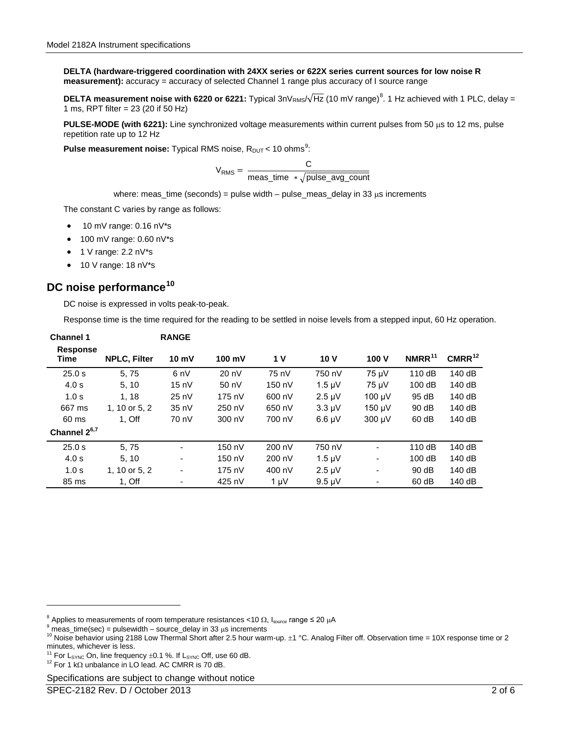**DELTA (hardware-triggered coordination with 24XX series or 622X series current sources for low noise R measurement):** accuracy = accuracy of selected Channel 1 range plus accuracy of I source range

**DELTA measurement noise with 6220 or 6221:** Typical  $3nV_{RMS}/\sqrt{Hz}$  (10 mV range)<sup>[8](#page-1-0)</sup>. 1 Hz achieved with 1 PLC, delay = 1 ms, RPT filter = 23 (20 if 50 Hz)

**PULSE-MODE (with 6221):** Line synchronized voltage measurements within current pulses from 50 us to 12 ms, pulse repetition rate up to 12 Hz

Pulse measurement noise: Typical RMS noise, R<sub>DUT</sub> < 10 ohms<sup>[9](#page-1-1)</sup>:

 $V_{RMS} = \frac{C}{\frac{C}{C}}$ meas\_time ∗ √pulse\_avg\_count

where: meas\_time (seconds) = pulse width – pulse\_meas\_delay in 33  $\mu$ s increments

The constant C varies by range as follows:

- 10 mV range: 0.16 nV\*s
- 100 mV range: 0.60 nV\*s
- 1 V range: 2.2 nV\*s
- 10 V range: 18 nV\*s

# **DC noise performance[10](#page-1-2)**

DC noise is expressed in volts peak-to-peak.

Response time is the time required for the reading to be settled in noise levels from a stepped input, 60 Hz operation.

| <b>Channel 1</b>               |                     | <b>RANGE</b>    |        |           |                           |                          |                    |                    |
|--------------------------------|---------------------|-----------------|--------|-----------|---------------------------|--------------------------|--------------------|--------------------|
| <b>Response</b><br><b>Time</b> | <b>NPLC, Filter</b> | $10 \text{ mV}$ | 100 mV | 1 V       | <b>10 V</b>               | 100 V                    | NMRR <sup>11</sup> | CMRR <sup>12</sup> |
| 25.0 s                         | 5.75                | 6 nV            | 20 nV  | 75 nV     | 750 nV                    | 75 µV                    | 110dB              | 140 dB             |
| 4.0 s                          | 5, 10               | $15 \text{ nV}$ | 50 nV  | 150 nV    | $1.5 \mu V$               | 75 µV                    | 100dB              | 140dB              |
| 1.0 <sub>s</sub>               | 1.18                | $25 \text{ nV}$ | 175 nV | 600 nV    | $2.5 \mu V$               | $100 \mu V$              | 95 dB              | 140 dB             |
| 667 ms                         | 1, 10 or 5, 2       | 35nV            | 250 nV | 650 nV    | $3.3 \mu V$               | 150 µV                   | 90 dB              | 140dB              |
| 60 ms                          | $1.$ Off            | 70 nV           | 300 nV | 700 nV    | $6.6 \mu V$               | 300 µV                   | 60 dB              | 140 dB             |
| Channel 26,7                   |                     |                 |        |           |                           |                          |                    |                    |
| 25.0 s                         | 5.75                | ٠               | 150 nV | 200 nV    | 750 nV                    | $\blacksquare$           | 110dB              | 140 dB             |
| 4.0 s                          | 5.10                | ٠               | 150 nV | 200 nV    | $1.5 \mu V$               | ٠                        | 100dB              | 140 dB             |
| 1.0 <sub>s</sub>               | 1, 10 or 5, 2       | ۰               | 175 nV | 400 nV    | $2.5 \text{ }\mu\text{V}$ | $\overline{\phantom{a}}$ | 90 dB              | 140 dB             |
| 85 ms                          | 1, Off              |                 | 425 nV | $1 \mu V$ | $9.5 \mu V$               |                          | 60 dB              | 140 dB             |

Specifications are subject to change without notice

-

<span id="page-1-2"></span>

<span id="page-1-1"></span><span id="page-1-0"></span><sup>&</sup>lt;sup>8</sup> Applies to measurements of room temperature resistances <10  $\Omega$ , I<sub>source</sub> range ≤ 20  $\mu$ A<br><sup>9</sup> meas\_time(sec) = pulsewidth – source\_delay in 33  $\mu$ s increments<br><sup>10</sup> Noise behavior using 2188 Low Thermal Short after minutes, whichever is less.<br><sup>11</sup> For L<sub>SYNC</sub> On, line frequency  $\pm 0.1$  %. If L<sub>SYNC</sub> Off, use 60 dB.

<span id="page-1-4"></span><span id="page-1-3"></span> $12$  For 1 kΩ unbalance in LO lead. AC CMRR is 70 dB.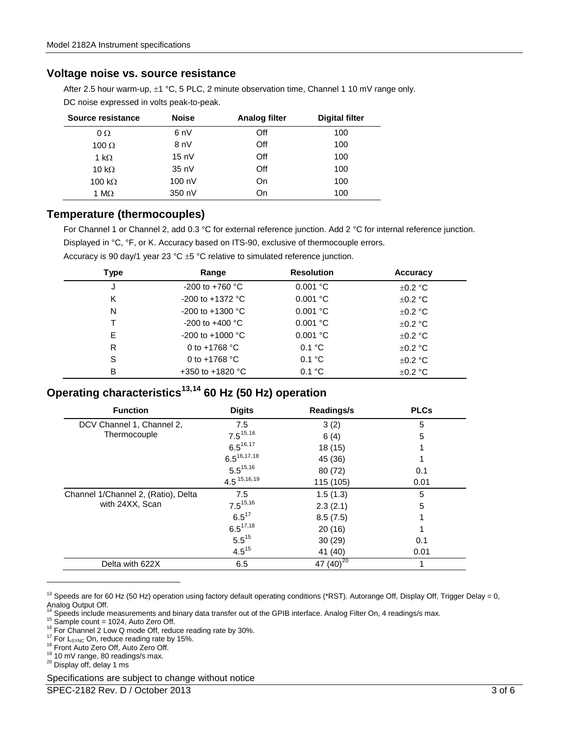#### **Voltage noise vs. source resistance**

After 2.5 hour warm-up,  $\pm 1$  °C, 5 PLC, 2 minute observation time, Channel 1 10 mV range only. DC noise expressed in volts peak-to-peak.

| Source resistance | <b>Noise</b>     | Analog filter | <b>Digital filter</b> |
|-------------------|------------------|---------------|-----------------------|
| $0\,\Omega$       | 6 <sub>n</sub> V | Off           | 100                   |
| 100 $\Omega$      | 8 <sub>n</sub> V | Off           | 100                   |
| 1 k $\Omega$      | $15 \text{ nV}$  | Off           | 100                   |
| 10 k $\Omega$     | 35nV             | Off           | 100                   |
| 100 k $\Omega$    | 100 nV           | On            | 100                   |
| 1 M $\Omega$      | 350 nV           | On            | 100                   |

#### **Temperature (thermocouples)**

For Channel 1 or Channel 2, add 0.3 °C for external reference junction. Add 2 °C for internal reference junction. Displayed in °C, °F, or K. Accuracy based on ITS-90, exclusive of thermocouple errors.

Accuracy is 90 day/1 year 23 °C ±5 °C relative to simulated reference junction.

| Type | Range                      | <b>Resolution</b> | Accuracy     |
|------|----------------------------|-------------------|--------------|
| J    | $-200$ to $+760$ °C        | 0.001 °C          | $\pm 0.2$ °C |
| Κ    | $-200$ to $+1372$ °C       | 0.001 °C          | $\pm 0.2$ °C |
| N    | $-200$ to $+1300$ °C       | 0.001 °C          | $\pm 0.2$ °C |
|      | $-200$ to $+400$ °C        | 0.001 °C          | $\pm 0.2$ °C |
| Е    | $-200$ to $+1000$ °C       | 0.001 °C          | $\pm 0.2$ °C |
| R    | 0 to $+1768$ °C            | 0.1 °C            | $\pm 0.2$ °C |
| S    | 0 to $+1768$ °C            | 0.1 °C            | $\pm 0.2$ °C |
| B    | +350 to +1820 $^{\circ}$ C | 0.1 °C            | $\pm 0.2$ °C |

# **Operating characteristics[13](#page-2-4),[14](#page-2-5) 60 Hz (50 Hz) operation**

<span id="page-2-14"></span><span id="page-2-13"></span><span id="page-2-12"></span><span id="page-2-3"></span><span id="page-2-2"></span><span id="page-2-1"></span><span id="page-2-0"></span>

| <b>Function</b>                     | <b>Digits</b>    | Readings/s     | <b>PLCs</b> |
|-------------------------------------|------------------|----------------|-------------|
| DCV Channel 1, Channel 2,           | 7.5              | 3(2)           | 5           |
| Thermocouple                        | $7.5^{15,16}$    | 6(4)           | 5           |
|                                     | $6.5^{16,17}$    | 18 (15)        |             |
|                                     | $6.5^{16,17,18}$ | 45 (36)        |             |
|                                     | $5.5^{15,16}$    | 80 (72)        | 0.1         |
|                                     | $4.5^{15,16,19}$ | 115 (105)      | 0.01        |
| Channel 1/Channel 2, (Ratio), Delta | 7.5              | 1.5(1.3)       | 5           |
| with 24XX, Scan                     | $7.5^{15,16}$    | 2.3(2.1)       | 5           |
|                                     | $6.5^{17}$       | 8.5(7.5)       |             |
|                                     | $6.5^{17,18}$    | 20(16)         |             |
|                                     | $5.5^{15}$       | 30(29)         | 0.1         |
|                                     | $4.5^{15}$       | 41 (40)        | 0.01        |
| Delta with 622X                     | 6.5              | 47 $(40)^{20}$ |             |

<span id="page-2-4"></span><sup>13</sup> Speeds are for 60 Hz (50 Hz) operation using factory default operating conditions (\*RST). Autorange Off, Display Off, Trigger Delay = 0, Analog Output Off.

<span id="page-2-6"></span><span id="page-2-5"></span><sup>14</sup> Speeds include measurements and binary data transfer out of the GPIB interface. Analog Filter On, 4 readings/s max.<br><sup>15</sup> Sample count = 1024, Auto Zero Off.<br><sup>16</sup> For Channel 2 Low Q mode Off, reduce reading rate by 3

- 
- <span id="page-2-10"></span>

j

Specifications are subject to change without notice

<span id="page-2-7"></span>

<span id="page-2-9"></span><span id="page-2-8"></span>

<span id="page-2-11"></span>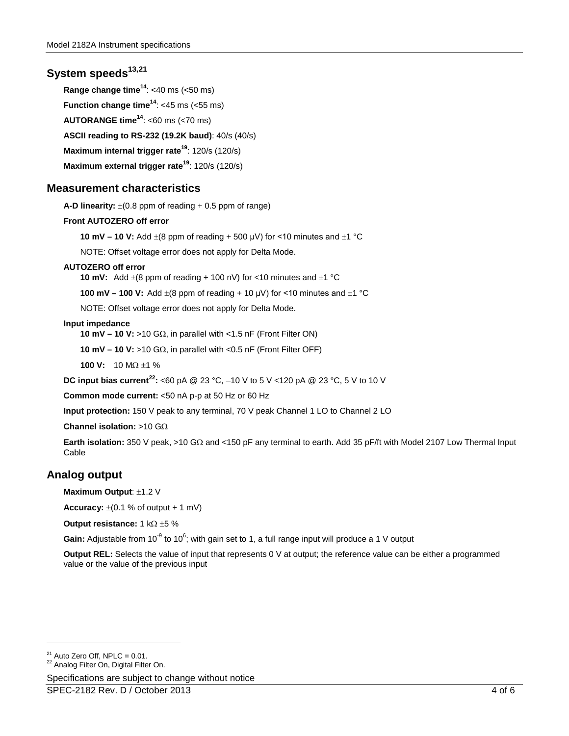# **System speeds[13,](#page-2-12)[21](#page-3-0)**

**Range change time[14](#page-2-13)**: <40 ms (<50 ms)

**Function change time[14](#page-2-13)**: <45 ms (<55 ms)

**AUTORANGE time[14](#page-2-13)**: <60 ms (<70 ms)

**ASCII reading to RS-232 (19.2K baud)**: 40/s (40/s)

**Maximum internal trigger rate[19](#page-2-14)**: 120/s (120/s)

**Maximum external trigger rate[19](#page-2-14)**: 120/s (120/s)

## **Measurement characteristics**

**A-D linearity:**  $\pm(0.8 \text{ ppm of reading} + 0.5 \text{ ppm of range})$ 

#### **Front AUTOZERO off error**

**10 mV – 10 V:** Add ±(8 ppm of reading + 500 μV) for <10 minutes and ±1 °C

NOTE: Offset voltage error does not apply for Delta Mode.

#### **AUTOZERO off error**

**10 mV:** Add ±(8 ppm of reading + 100 nV) for <10 minutes and ±1 °C

**100 mV – 100 V:** Add ±(8 ppm of reading + 10 μV) for <10 minutes and ±1 °C

NOTE: Offset voltage error does not apply for Delta Mode.

#### **Input impedance**

**10 mV – 10 V:** >10 GΩ, in parallel with <1.5 nF (Front Filter ON)

**10 mV – 10 V:** >10 GΩ, in parallel with <0.5 nF (Front Filter OFF)

**100 V:** 10 MΩ ±1 %

**DC input bias current[22](#page-3-1):** <60 pA @ 23 °C, –10 V to 5 V <120 pA @ 23 °C, 5 V to 10 V

**Common mode current:** <50 nA p-p at 50 Hz or 60 Hz

**Input protection:** 150 V peak to any terminal, 70 V peak Channel 1 LO to Channel 2 LO

**Channel isolation:** >10 GΩ

**Earth isolation:** 350 V peak, >10 GΩ and <150 pF any terminal to earth. Add 35 pF/ft with Model 2107 Low Thermal Input Cable

# **Analog output**

**Maximum Output**: ±1.2 V

**Accuracy:**  $\pm (0.1 \% \text{ of output } + 1 \text{ mV})$ 

**Output resistance:** 1 kΩ ±5 %

Gain: Adjustable from 10<sup>-9</sup> to 10<sup>6</sup>; with gain set to 1, a full range input will produce a 1 V output

**Output REL:** Selects the value of input that represents 0 V at output; the reference value can be either a programmed value or the value of the previous input

-

<span id="page-3-1"></span><span id="page-3-0"></span><sup>&</sup>lt;sup>21</sup> Auto Zero Off, NPLC = 0.01.<br><sup>22</sup> Analog Filter On, Digital Filter On.

Specifications are subject to change without notice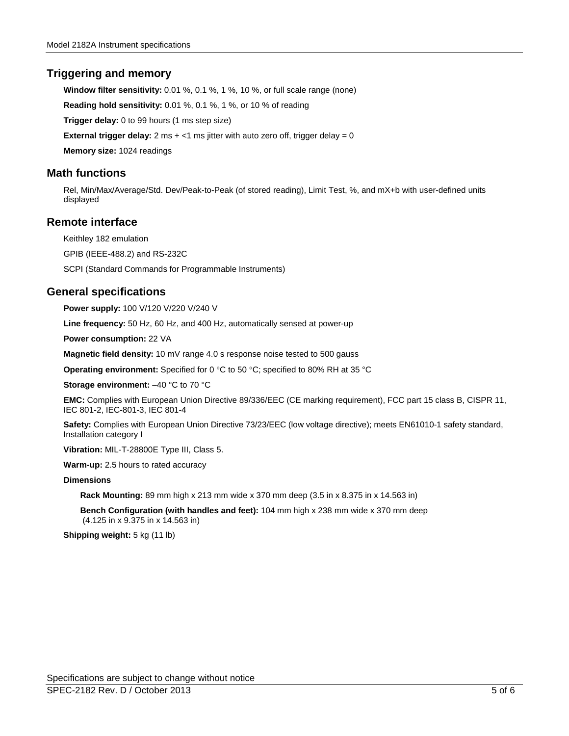## **Triggering and memory**

**Window filter sensitivity:** 0.01 %, 0.1 %, 1 %, 10 %, or full scale range (none)

**Reading hold sensitivity:** 0.01 %, 0.1 %, 1 %, or 10 % of reading

**Trigger delay:** 0 to 99 hours (1 ms step size)

**External trigger delay:** 2 ms  $+$  <1 ms jitter with auto zero off, trigger delay = 0

**Memory size:** 1024 readings

## **Math functions**

Rel, Min/Max/Average/Std. Dev/Peak-to-Peak (of stored reading), Limit Test, %, and mX+b with user-defined units displayed

# **Remote interface**

Keithley 182 emulation

GPIB (IEEE-488.2) and RS-232C

SCPI (Standard Commands for Programmable Instruments)

### **General specifications**

**Power supply:** 100 V/120 V/220 V/240 V

**Line frequency:** 50 Hz, 60 Hz, and 400 Hz, automatically sensed at power-up

**Power consumption:** 22 VA

**Magnetic field density:** 10 mV range 4.0 s response noise tested to 500 gauss

**Operating environment:** Specified for 0 °C to 50 °C; specified to 80% RH at 35 °C

**Storage environment:** –40 °C to 70 °C

**EMC:** Complies with European Union Directive 89/336/EEC (CE marking requirement), FCC part 15 class B, CISPR 11, IEC 801-2, IEC-801-3, IEC 801-4

**Safety:** Complies with European Union Directive 73/23/EEC (low voltage directive); meets EN61010-1 safety standard, Installation category I

**Vibration:** MIL-T-28800E Type III, Class 5.

**Warm-up:** 2.5 hours to rated accuracy

**Dimensions**

**Rack Mounting:** 89 mm high x 213 mm wide x 370 mm deep (3.5 in x 8.375 in x 14.563 in)

**Bench Configuration (with handles and feet):** 104 mm high x 238 mm wide x 370 mm deep (4.125 in x 9.375 in x 14.563 in)

**Shipping weight:** 5 kg (11 lb)